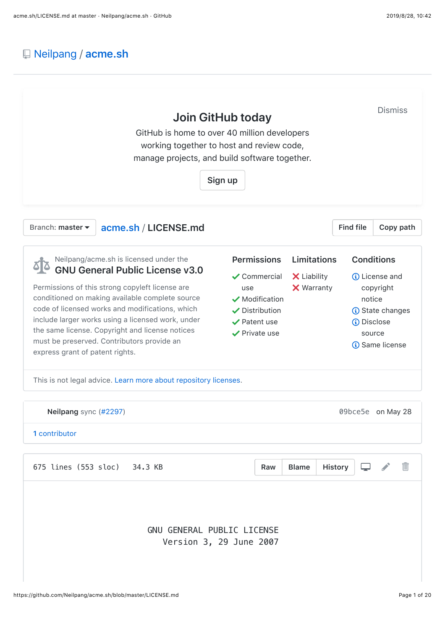# [Neilpang](https://github.com/Neilpang) / **[acme.sh](https://github.com/Neilpang/acme.sh)**

| GitHub is home to over 40 million developers<br>working together to host and review code,<br>manage projects, and build software together.                                                                                                                                                                                                                                                                                         | Join GitHub today<br>Sign up                                                                                                                                 |                                                        |                  | <b>Dismiss</b>                                                                                                                                         |
|------------------------------------------------------------------------------------------------------------------------------------------------------------------------------------------------------------------------------------------------------------------------------------------------------------------------------------------------------------------------------------------------------------------------------------|--------------------------------------------------------------------------------------------------------------------------------------------------------------|--------------------------------------------------------|------------------|--------------------------------------------------------------------------------------------------------------------------------------------------------|
| Branch: master $\blacktriangledown$<br>acme.sh / LICENSE.md                                                                                                                                                                                                                                                                                                                                                                        |                                                                                                                                                              |                                                        | <b>Find file</b> | Copy path                                                                                                                                              |
| Neilpang/acme.sh is licensed under the<br><b>GNU General Public License v3.0</b><br>Permissions of this strong copyleft license are<br>conditioned on making available complete source<br>code of licensed works and modifications, which<br>include larger works using a licensed work, under<br>the same license. Copyright and license notices<br>must be preserved. Contributors provide an<br>express grant of patent rights. | <b>Permissions</b><br>$\checkmark$ Commercial<br>use<br>$\sqrt{\phantom{a}}$ Modification<br>✔ Distribution<br>$\vee$ Patent use<br>$\checkmark$ Private use | <b>Limitations</b><br>X Liability<br><b>X</b> Warranty | (i) Disclose     | <b>Conditions</b><br><b><i>(i)</i></b> License and<br>copyright<br>notice<br><b><i>i</i></b> State changes<br>source<br><b><i>(i)</i></b> Same license |
| This is not legal advice. Learn more about repository licenses.                                                                                                                                                                                                                                                                                                                                                                    |                                                                                                                                                              |                                                        |                  |                                                                                                                                                        |
| Neilpang sync (#2297)<br>1 contributor                                                                                                                                                                                                                                                                                                                                                                                             |                                                                                                                                                              |                                                        |                  | 09bce5e on May 28                                                                                                                                      |
| 675 lines (553 sloc) 34.3 KB                                                                                                                                                                                                                                                                                                                                                                                                       | Raw                                                                                                                                                          | <b>Blame</b>                                           | <b>History</b>   | $\blacksquare$                                                                                                                                         |
| GNU GENERAL PUBLIC LICENSE                                                                                                                                                                                                                                                                                                                                                                                                         | Version 3, 29 June 2007                                                                                                                                      |                                                        |                  |                                                                                                                                                        |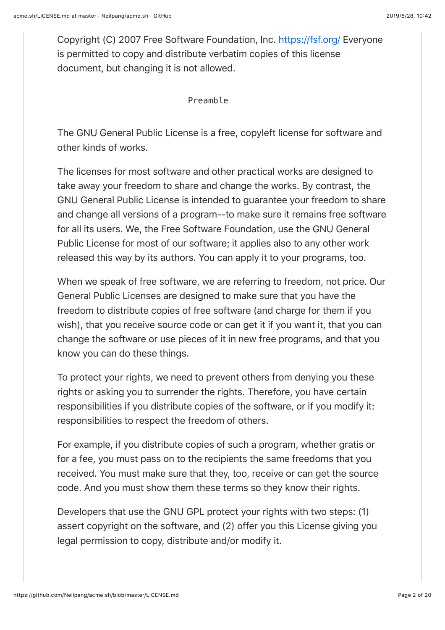Copyright (C) 2007 Free Software Foundation, Inc.<https://fsf.org/> Everyone is permitted to copy and distribute verbatim copies of this license document, but changing it is not allowed.

Preamble

The GNU General Public License is a free, copyleft license for software and other kinds of works.

The licenses for most software and other practical works are designed to take away your freedom to share and change the works. By contrast, the GNU General Public License is intended to guarantee your freedom to share and change all versions of a program--to make sure it remains free software for all its users. We, the Free Software Foundation, use the GNU General Public License for most of our software; it applies also to any other work released this way by its authors. You can apply it to your programs, too.

When we speak of free software, we are referring to freedom, not price. Our General Public Licenses are designed to make sure that you have the freedom to distribute copies of free software (and charge for them if you wish), that you receive source code or can get it if you want it, that you can change the software or use pieces of it in new free programs, and that you know you can do these things.

To protect your rights, we need to prevent others from denying you these rights or asking you to surrender the rights. Therefore, you have certain responsibilities if you distribute copies of the software, or if you modify it: responsibilities to respect the freedom of others.

For example, if you distribute copies of such a program, whether gratis or for a fee, you must pass on to the recipients the same freedoms that you received. You must make sure that they, too, receive or can get the source code. And you must show them these terms so they know their rights.

Developers that use the GNU GPL protect your rights with two steps: (1) assert copyright on the software, and (2) offer you this License giving you legal permission to copy, distribute and/or modify it.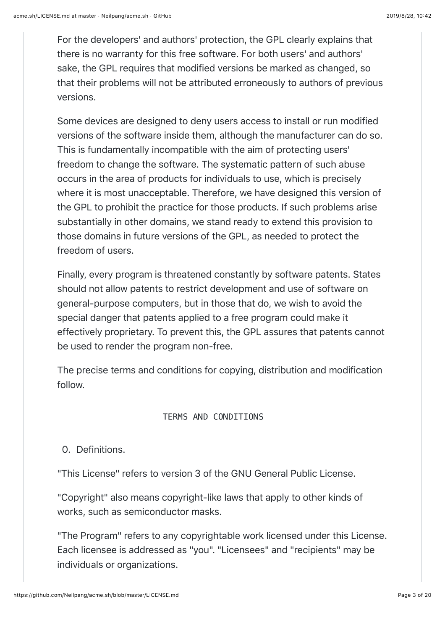For the developers' and authors' protection, the GPL clearly explains that there is no warranty for this free software. For both users' and authors' sake, the GPL requires that modified versions be marked as changed, so that their problems will not be attributed erroneously to authors of previous versions.

Some devices are designed to deny users access to install or run modified versions of the software inside them, although the manufacturer can do so. This is fundamentally incompatible with the aim of protecting users' freedom to change the software. The systematic pattern of such abuse occurs in the area of products for individuals to use, which is precisely where it is most unacceptable. Therefore, we have designed this version of the GPL to prohibit the practice for those products. If such problems arise substantially in other domains, we stand ready to extend this provision to those domains in future versions of the GPL, as needed to protect the freedom of users.

Finally, every program is threatened constantly by software patents. States should not allow patents to restrict development and use of software on general-purpose computers, but in those that do, we wish to avoid the special danger that patents applied to a free program could make it effectively proprietary. To prevent this, the GPL assures that patents cannot be used to render the program non-free.

The precise terms and conditions for copying, distribution and modification follow.

### TERMS AND CONDITIONS

## 0. Definitions.

"This License" refers to version 3 of the GNU General Public License.

"Copyright" also means copyright-like laws that apply to other kinds of works, such as semiconductor masks.

"The Program" refers to any copyrightable work licensed under this License. Each licensee is addressed as "you". "Licensees" and "recipients" may be individuals or organizations.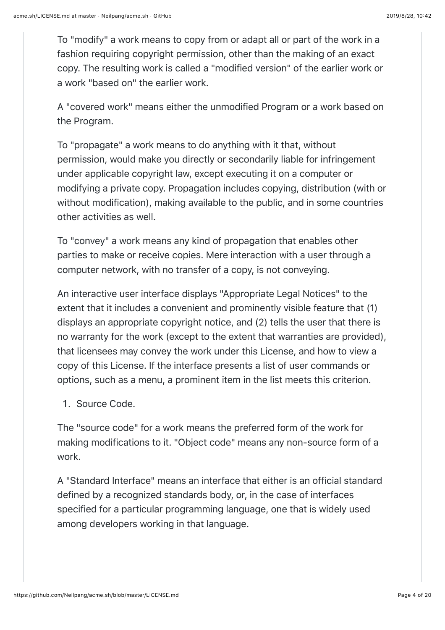To "modify" a work means to copy from or adapt all or part of the work in a fashion requiring copyright permission, other than the making of an exact copy. The resulting work is called a "modified version" of the earlier work or a work "based on" the earlier work.

A "covered work" means either the unmodified Program or a work based on the Program.

To "propagate" a work means to do anything with it that, without permission, would make you directly or secondarily liable for infringement under applicable copyright law, except executing it on a computer or modifying a private copy. Propagation includes copying, distribution (with or without modification), making available to the public, and in some countries other activities as well.

To "convey" a work means any kind of propagation that enables other parties to make or receive copies. Mere interaction with a user through a computer network, with no transfer of a copy, is not conveying.

An interactive user interface displays "Appropriate Legal Notices" to the extent that it includes a convenient and prominently visible feature that (1) displays an appropriate copyright notice, and (2) tells the user that there is no warranty for the work (except to the extent that warranties are provided), that licensees may convey the work under this License, and how to view a copy of this License. If the interface presents a list of user commands or options, such as a menu, a prominent item in the list meets this criterion.

1. Source Code.

The "source code" for a work means the preferred form of the work for making modifications to it. "Object code" means any non-source form of a work.

A "Standard Interface" means an interface that either is an official standard defined by a recognized standards body, or, in the case of interfaces specified for a particular programming language, one that is widely used among developers working in that language.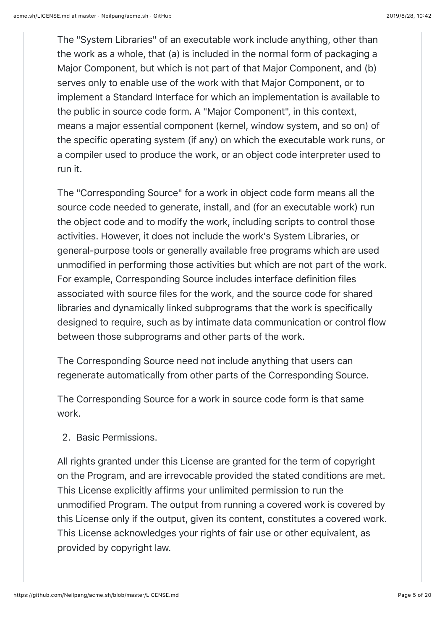The "System Libraries" of an executable work include anything, other than the work as a whole, that (a) is included in the normal form of packaging a Major Component, but which is not part of that Major Component, and (b) serves only to enable use of the work with that Major Component, or to implement a Standard Interface for which an implementation is available to the public in source code form. A "Major Component", in this context, means a major essential component (kernel, window system, and so on) of the specific operating system (if any) on which the executable work runs, or a compiler used to produce the work, or an object code interpreter used to run it.

The "Corresponding Source" for a work in object code form means all the source code needed to generate, install, and (for an executable work) run the object code and to modify the work, including scripts to control those activities. However, it does not include the work's System Libraries, or general-purpose tools or generally available free programs which are used unmodified in performing those activities but which are not part of the work. For example, Corresponding Source includes interface definition files associated with source files for the work, and the source code for shared libraries and dynamically linked subprograms that the work is specifically designed to require, such as by intimate data communication or control flow between those subprograms and other parts of the work.

The Corresponding Source need not include anything that users can regenerate automatically from other parts of the Corresponding Source.

The Corresponding Source for a work in source code form is that same work.

2. Basic Permissions.

All rights granted under this License are granted for the term of copyright on the Program, and are irrevocable provided the stated conditions are met. This License explicitly affirms your unlimited permission to run the unmodified Program. The output from running a covered work is covered by this License only if the output, given its content, constitutes a covered work. This License acknowledges your rights of fair use or other equivalent, as provided by copyright law.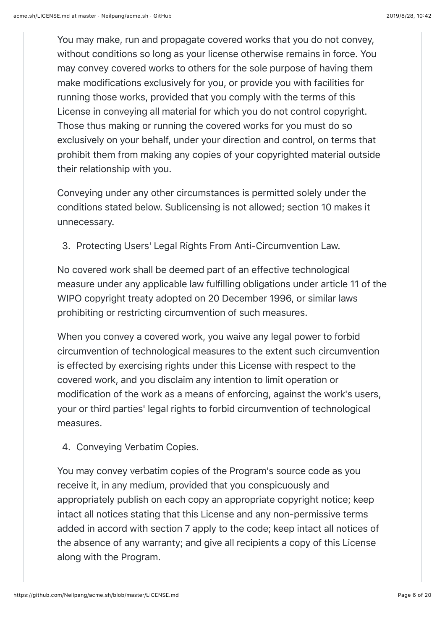You may make, run and propagate covered works that you do not convey, without conditions so long as your license otherwise remains in force. You may convey covered works to others for the sole purpose of having them make modifications exclusively for you, or provide you with facilities for running those works, provided that you comply with the terms of this License in conveying all material for which you do not control copyright. Those thus making or running the covered works for you must do so exclusively on your behalf, under your direction and control, on terms that prohibit them from making any copies of your copyrighted material outside their relationship with you.

Conveying under any other circumstances is permitted solely under the conditions stated below. Sublicensing is not allowed; section 10 makes it unnecessary.

3. Protecting Users' Legal Rights From Anti-Circumvention Law.

No covered work shall be deemed part of an effective technological measure under any applicable law fulfilling obligations under article 11 of the WIPO copyright treaty adopted on 20 December 1996, or similar laws prohibiting or restricting circumvention of such measures.

When you convey a covered work, you waive any legal power to forbid circumvention of technological measures to the extent such circumvention is effected by exercising rights under this License with respect to the covered work, and you disclaim any intention to limit operation or modification of the work as a means of enforcing, against the work's users, your or third parties' legal rights to forbid circumvention of technological measures.

4. Conveying Verbatim Copies.

You may convey verbatim copies of the Program's source code as you receive it, in any medium, provided that you conspicuously and appropriately publish on each copy an appropriate copyright notice; keep intact all notices stating that this License and any non-permissive terms added in accord with section 7 apply to the code; keep intact all notices of the absence of any warranty; and give all recipients a copy of this License along with the Program.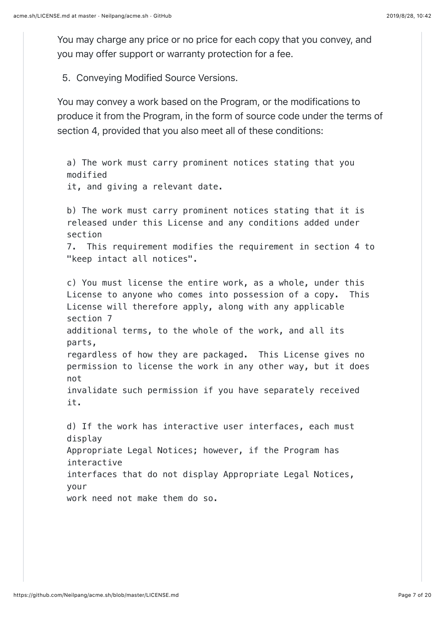You may charge any price or no price for each copy that you convey, and you may offer support or warranty protection for a fee.

5. Conveying Modified Source Versions.

You may convey a work based on the Program, or the modifications to produce it from the Program, in the form of source code under the terms of section 4, provided that you also meet all of these conditions:

a) The work must carry prominent notices stating that you modified it, and giving a relevant date. b) The work must carry prominent notices stating that it is released under this License and any conditions added under section 7. This requirement modifies the requirement in section 4 to "keep intact all notices". c) You must license the entire work, as a whole, under this License to anyone who comes into possession of a copy. This License will therefore apply, along with any applicable section 7 additional terms, to the whole of the work, and all its parts, regardless of how they are packaged. This License gives no permission to license the work in any other way, but it does not invalidate such permission if you have separately received it. d) If the work has interactive user interfaces, each must display Appropriate Legal Notices; however, if the Program has interactive

interfaces that do not display Appropriate Legal Notices, your

work need not make them do so.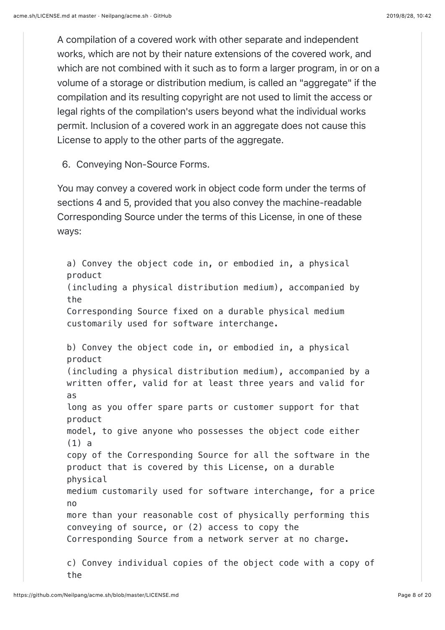A compilation of a covered work with other separate and independent works, which are not by their nature extensions of the covered work, and which are not combined with it such as to form a larger program, in or on a volume of a storage or distribution medium, is called an "aggregate" if the compilation and its resulting copyright are not used to limit the access or legal rights of the compilation's users beyond what the individual works permit. Inclusion of a covered work in an aggregate does not cause this License to apply to the other parts of the aggregate.

6. Conveying Non-Source Forms.

You may convey a covered work in object code form under the terms of sections 4 and 5, provided that you also convey the machine-readable Corresponding Source under the terms of this License, in one of these ways:

a) Convey the object code in, or embodied in, a physical product (including a physical distribution medium), accompanied by the Corresponding Source fixed on a durable physical medium customarily used for software interchange. b) Convey the object code in, or embodied in, a physical product (including a physical distribution medium), accompanied by a written offer, valid for at least three years and valid for as long as you offer spare parts or customer support for that product model, to give anyone who possesses the object code either (1) a copy of the Corresponding Source for all the software in the product that is covered by this License, on a durable physical medium customarily used for software interchange, for a price no more than your reasonable cost of physically performing this conveying of source, or (2) access to copy the Corresponding Source from a network server at no charge. c) Convey individual copies of the object code with a copy of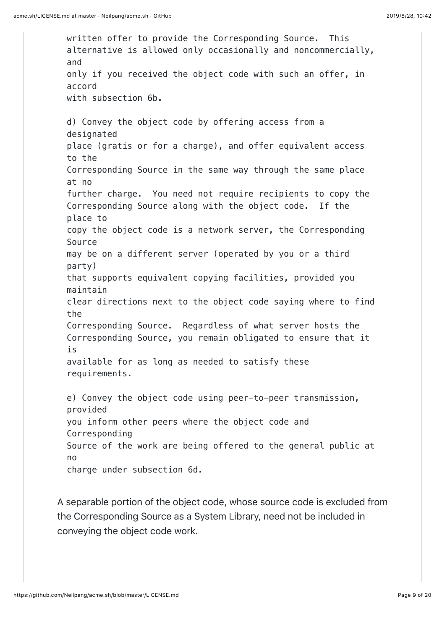written offer to provide the Corresponding Source. This alternative is allowed only occasionally and noncommercially, and only if you received the object code with such an offer, in accord with subsection 6b. d) Convey the object code by offering access from a designated place (gratis or for a charge), and offer equivalent access to the Corresponding Source in the same way through the same place at no further charge. You need not require recipients to copy the Corresponding Source along with the object code. If the place to copy the object code is a network server, the Corresponding Source may be on a different server (operated by you or a third party) that supports equivalent copying facilities, provided you maintain clear directions next to the object code saying where to find the Corresponding Source. Regardless of what server hosts the Corresponding Source, you remain obligated to ensure that it is available for as long as needed to satisfy these requirements. e) Convey the object code using peer-to-peer transmission, provided you inform other peers where the object code and Corresponding Source of the work are being offered to the general public at no charge under subsection 6d.

A separable portion of the object code, whose source code is excluded from the Corresponding Source as a System Library, need not be included in conveying the object code work.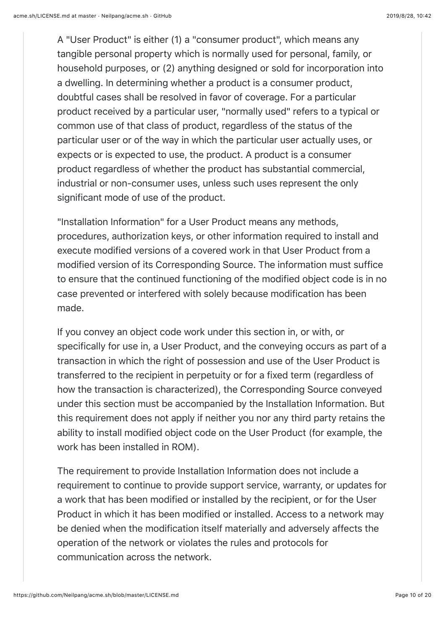A "User Product" is either (1) a "consumer product", which means any tangible personal property which is normally used for personal, family, or household purposes, or (2) anything designed or sold for incorporation into a dwelling. In determining whether a product is a consumer product, doubtful cases shall be resolved in favor of coverage. For a particular product received by a particular user, "normally used" refers to a typical or common use of that class of product, regardless of the status of the particular user or of the way in which the particular user actually uses, or expects or is expected to use, the product. A product is a consumer product regardless of whether the product has substantial commercial, industrial or non-consumer uses, unless such uses represent the only significant mode of use of the product.

"Installation Information" for a User Product means any methods, procedures, authorization keys, or other information required to install and execute modified versions of a covered work in that User Product from a modified version of its Corresponding Source. The information must suffice to ensure that the continued functioning of the modified object code is in no case prevented or interfered with solely because modification has been made.

If you convey an object code work under this section in, or with, or specifically for use in, a User Product, and the conveying occurs as part of a transaction in which the right of possession and use of the User Product is transferred to the recipient in perpetuity or for a fixed term (regardless of how the transaction is characterized), the Corresponding Source conveyed under this section must be accompanied by the Installation Information. But this requirement does not apply if neither you nor any third party retains the ability to install modified object code on the User Product (for example, the work has been installed in ROM).

The requirement to provide Installation Information does not include a requirement to continue to provide support service, warranty, or updates for a work that has been modified or installed by the recipient, or for the User Product in which it has been modified or installed. Access to a network may be denied when the modification itself materially and adversely affects the operation of the network or violates the rules and protocols for communication across the network.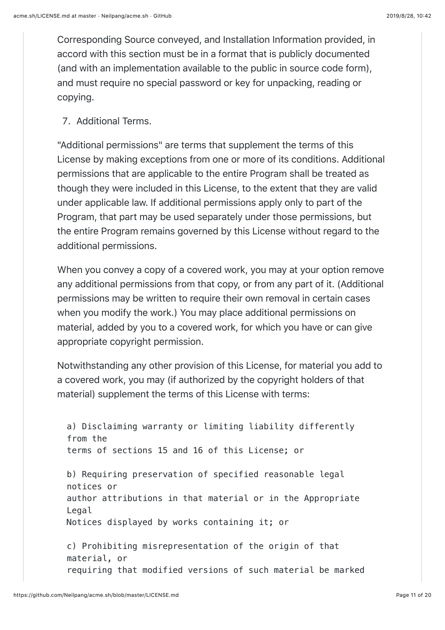Corresponding Source conveyed, and Installation Information provided, in accord with this section must be in a format that is publicly documented (and with an implementation available to the public in source code form), and must require no special password or key for unpacking, reading or copying.

7. Additional Terms.

"Additional permissions" are terms that supplement the terms of this License by making exceptions from one or more of its conditions. Additional permissions that are applicable to the entire Program shall be treated as though they were included in this License, to the extent that they are valid under applicable law. If additional permissions apply only to part of the Program, that part may be used separately under those permissions, but the entire Program remains governed by this License without regard to the additional permissions.

When you convey a copy of a covered work, you may at your option remove any additional permissions from that copy, or from any part of it. (Additional permissions may be written to require their own removal in certain cases when you modify the work.) You may place additional permissions on material, added by you to a covered work, for which you have or can give appropriate copyright permission.

Notwithstanding any other provision of this License, for material you add to a covered work, you may (if authorized by the copyright holders of that material) supplement the terms of this License with terms:

```
a) Disclaiming warranty or limiting liability differently
from the
terms of sections 15 and 16 of this License; or
b) Requiring preservation of specified reasonable legal
notices or
author attributions in that material or in the Appropriate
Legal
Notices displayed by works containing it; or
c) Prohibiting misrepresentation of the origin of that
material, or
```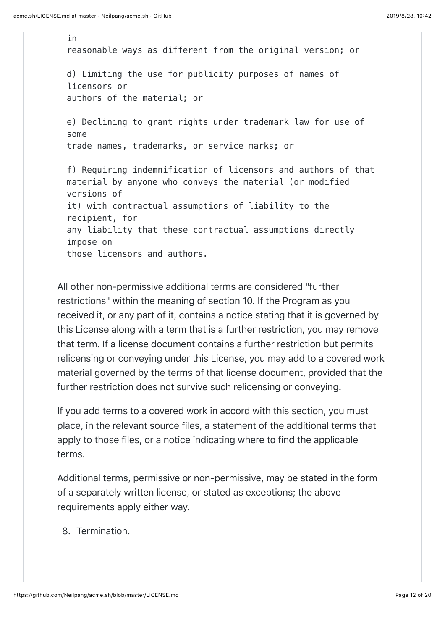in reasonable ways as different from the original version; or d) Limiting the use for publicity purposes of names of licensors or authors of the material; or e) Declining to grant rights under trademark law for use of some trade names, trademarks, or service marks; or f) Requiring indemnification of licensors and authors of that material by anyone who conveys the material (or modified versions of it) with contractual assumptions of liability to the recipient, for any liability that these contractual assumptions directly impose on those licensors and authors.

All other non-permissive additional terms are considered "further restrictions" within the meaning of section 10. If the Program as you received it, or any part of it, contains a notice stating that it is governed by this License along with a term that is a further restriction, you may remove that term. If a license document contains a further restriction but permits relicensing or conveying under this License, you may add to a covered work material governed by the terms of that license document, provided that the further restriction does not survive such relicensing or conveying.

If you add terms to a covered work in accord with this section, you must place, in the relevant source files, a statement of the additional terms that apply to those files, or a notice indicating where to find the applicable terms.

Additional terms, permissive or non-permissive, may be stated in the form of a separately written license, or stated as exceptions; the above requirements apply either way.

8. Termination.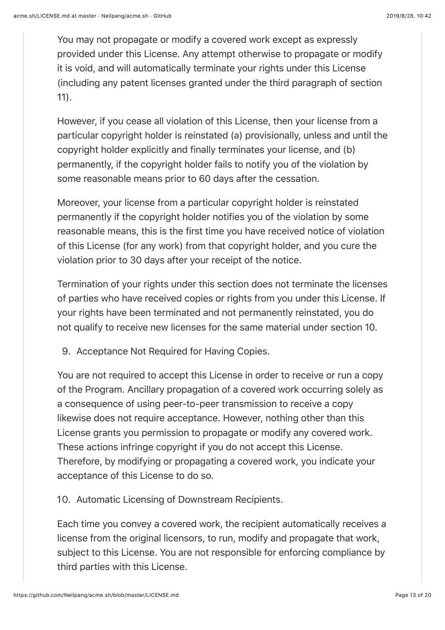You may not propagate or modify a covered work except as expressly provided under this License. Any attempt otherwise to propagate or modify it is void, and will automatically terminate your rights under this License (including any patent licenses granted under the third paragraph of section 11).

However, if you cease all violation of this License, then your license from a particular copyright holder is reinstated (a) provisionally, unless and until the copyright holder explicitly and finally terminates your license, and (b) permanently, if the copyright holder fails to notify you of the violation by some reasonable means prior to 60 days after the cessation.

Moreover, your license from a particular copyright holder is reinstated permanently if the copyright holder notifies you of the violation by some reasonable means, this is the first time you have received notice of violation of this License (for any work) from that copyright holder, and you cure the violation prior to 30 days after your receipt of the notice.

Termination of your rights under this section does not terminate the licenses of parties who have received copies or rights from you under this License. If your rights have been terminated and not permanently reinstated, you do not qualify to receive new licenses for the same material under section 10.

9. Acceptance Not Required for Having Copies.

You are not required to accept this License in order to receive or run a copy of the Program. Ancillary propagation of a covered work occurring solely as a consequence of using peer-to-peer transmission to receive a copy likewise does not require acceptance. However, nothing other than this License grants you permission to propagate or modify any covered work. These actions infringe copyright if you do not accept this License. Therefore, by modifying or propagating a covered work, you indicate your acceptance of this License to do so.

10. Automatic Licensing of Downstream Recipients.

Each time you convey a covered work, the recipient automatically receives a license from the original licensors, to run, modify and propagate that work, subject to this License. You are not responsible for enforcing compliance by third parties with this License.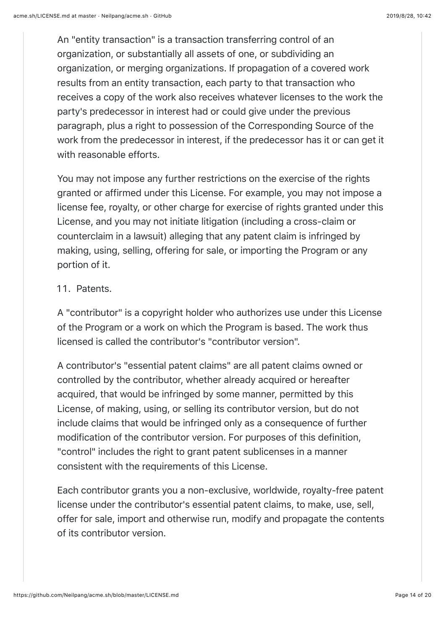An "entity transaction" is a transaction transferring control of an organization, or substantially all assets of one, or subdividing an organization, or merging organizations. If propagation of a covered work results from an entity transaction, each party to that transaction who receives a copy of the work also receives whatever licenses to the work the party's predecessor in interest had or could give under the previous paragraph, plus a right to possession of the Corresponding Source of the work from the predecessor in interest, if the predecessor has it or can get it with reasonable efforts.

You may not impose any further restrictions on the exercise of the rights granted or affirmed under this License. For example, you may not impose a license fee, royalty, or other charge for exercise of rights granted under this License, and you may not initiate litigation (including a cross-claim or counterclaim in a lawsuit) alleging that any patent claim is infringed by making, using, selling, offering for sale, or importing the Program or any portion of it.

### 11. Patents.

A "contributor" is a copyright holder who authorizes use under this License of the Program or a work on which the Program is based. The work thus licensed is called the contributor's "contributor version".

A contributor's "essential patent claims" are all patent claims owned or controlled by the contributor, whether already acquired or hereafter acquired, that would be infringed by some manner, permitted by this License, of making, using, or selling its contributor version, but do not include claims that would be infringed only as a consequence of further modification of the contributor version. For purposes of this definition, "control" includes the right to grant patent sublicenses in a manner consistent with the requirements of this License.

Each contributor grants you a non-exclusive, worldwide, royalty-free patent license under the contributor's essential patent claims, to make, use, sell, offer for sale, import and otherwise run, modify and propagate the contents of its contributor version.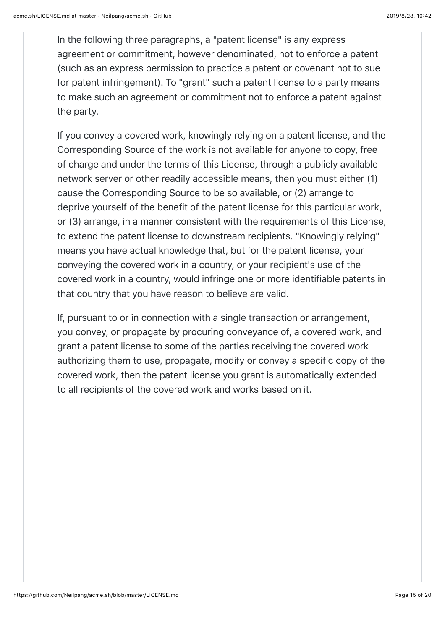In the following three paragraphs, a "patent license" is any express agreement or commitment, however denominated, not to enforce a patent (such as an express permission to practice a patent or covenant not to sue for patent infringement). To "grant" such a patent license to a party means to make such an agreement or commitment not to enforce a patent against the party.

If you convey a covered work, knowingly relying on a patent license, and the Corresponding Source of the work is not available for anyone to copy, free of charge and under the terms of this License, through a publicly available network server or other readily accessible means, then you must either (1) cause the Corresponding Source to be so available, or (2) arrange to deprive yourself of the benefit of the patent license for this particular work, or (3) arrange, in a manner consistent with the requirements of this License, to extend the patent license to downstream recipients. "Knowingly relying" means you have actual knowledge that, but for the patent license, your conveying the covered work in a country, or your recipient's use of the covered work in a country, would infringe one or more identifiable patents in that country that you have reason to believe are valid.

If, pursuant to or in connection with a single transaction or arrangement, you convey, or propagate by procuring conveyance of, a covered work, and grant a patent license to some of the parties receiving the covered work authorizing them to use, propagate, modify or convey a specific copy of the covered work, then the patent license you grant is automatically extended to all recipients of the covered work and works based on it.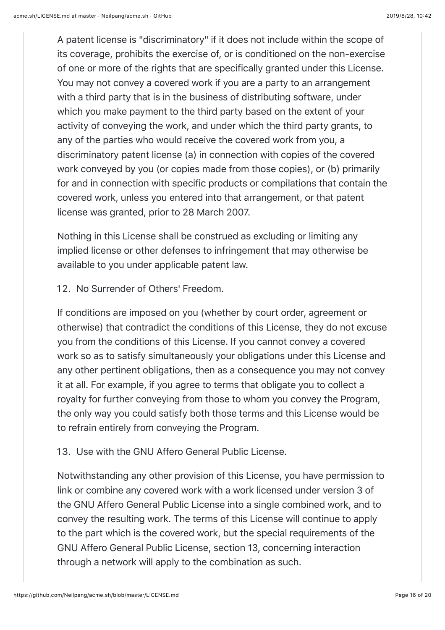A patent license is "discriminatory" if it does not include within the scope of its coverage, prohibits the exercise of, or is conditioned on the non-exercise of one or more of the rights that are specifically granted under this License. You may not convey a covered work if you are a party to an arrangement with a third party that is in the business of distributing software, under which you make payment to the third party based on the extent of your activity of conveying the work, and under which the third party grants, to any of the parties who would receive the covered work from you, a discriminatory patent license (a) in connection with copies of the covered work conveyed by you (or copies made from those copies), or (b) primarily for and in connection with specific products or compilations that contain the covered work, unless you entered into that arrangement, or that patent license was granted, prior to 28 March 2007.

Nothing in this License shall be construed as excluding or limiting any implied license or other defenses to infringement that may otherwise be available to you under applicable patent law.

12. No Surrender of Others' Freedom.

If conditions are imposed on you (whether by court order, agreement or otherwise) that contradict the conditions of this License, they do not excuse you from the conditions of this License. If you cannot convey a covered work so as to satisfy simultaneously your obligations under this License and any other pertinent obligations, then as a consequence you may not convey it at all. For example, if you agree to terms that obligate you to collect a royalty for further conveying from those to whom you convey the Program, the only way you could satisfy both those terms and this License would be to refrain entirely from conveying the Program.

## 13. Use with the GNU Affero General Public License.

Notwithstanding any other provision of this License, you have permission to link or combine any covered work with a work licensed under version 3 of the GNU Affero General Public License into a single combined work, and to convey the resulting work. The terms of this License will continue to apply to the part which is the covered work, but the special requirements of the GNU Affero General Public License, section 13, concerning interaction through a network will apply to the combination as such.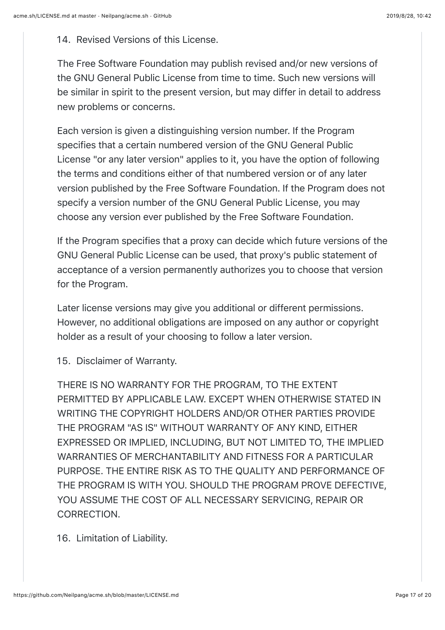14. Revised Versions of this License.

The Free Software Foundation may publish revised and/or new versions of the GNU General Public License from time to time. Such new versions will be similar in spirit to the present version, but may differ in detail to address new problems or concerns.

Each version is given a distinguishing version number. If the Program specifies that a certain numbered version of the GNU General Public License "or any later version" applies to it, you have the option of following the terms and conditions either of that numbered version or of any later version published by the Free Software Foundation. If the Program does not specify a version number of the GNU General Public License, you may choose any version ever published by the Free Software Foundation.

If the Program specifies that a proxy can decide which future versions of the GNU General Public License can be used, that proxy's public statement of acceptance of a version permanently authorizes you to choose that version for the Program.

Later license versions may give you additional or different permissions. However, no additional obligations are imposed on any author or copyright holder as a result of your choosing to follow a later version.

15. Disclaimer of Warranty.

THERE IS NO WARRANTY FOR THE PROGRAM, TO THE EXTENT PERMITTED BY APPLICABLE LAW. EXCEPT WHEN OTHERWISE STATED IN WRITING THE COPYRIGHT HOLDERS AND/OR OTHER PARTIES PROVIDE THE PROGRAM "AS IS" WITHOUT WARRANTY OF ANY KIND, EITHER EXPRESSED OR IMPLIED, INCLUDING, BUT NOT LIMITED TO, THE IMPLIED WARRANTIES OF MERCHANTABILITY AND FITNESS FOR A PARTICULAR PURPOSE. THE ENTIRE RISK AS TO THE QUALITY AND PERFORMANCE OF THE PROGRAM IS WITH YOU. SHOULD THE PROGRAM PROVE DEFECTIVE, YOU ASSUME THE COST OF ALL NECESSARY SERVICING, REPAIR OR CORRECTION.

16. Limitation of Liability.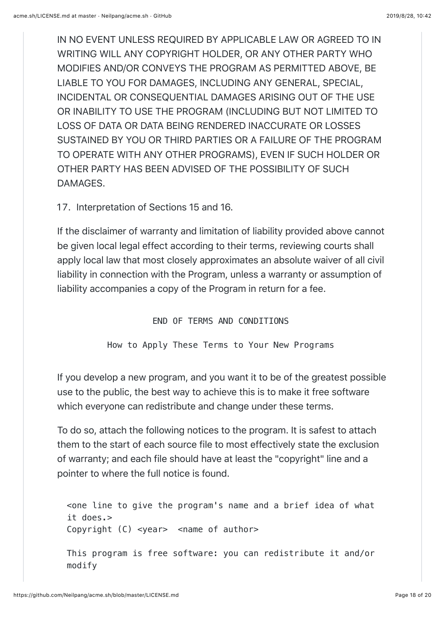IN NO EVENT UNLESS REQUIRED BY APPLICABLE LAW OR AGREED TO IN WRITING WILL ANY COPYRIGHT HOLDER, OR ANY OTHER PARTY WHO MODIFIES AND/OR CONVEYS THE PROGRAM AS PERMITTED ABOVE, BE LIABLE TO YOU FOR DAMAGES, INCLUDING ANY GENERAL, SPECIAL, INCIDENTAL OR CONSEQUENTIAL DAMAGES ARISING OUT OF THE USE OR INABILITY TO USE THE PROGRAM (INCLUDING BUT NOT LIMITED TO LOSS OF DATA OR DATA BEING RENDERED INACCURATE OR LOSSES SUSTAINED BY YOU OR THIRD PARTIES OR A FAILURE OF THE PROGRAM TO OPERATE WITH ANY OTHER PROGRAMS), EVEN IF SUCH HOLDER OR OTHER PARTY HAS BEEN ADVISED OF THE POSSIBILITY OF SUCH DAMAGES.

17. Interpretation of Sections 15 and 16.

If the disclaimer of warranty and limitation of liability provided above cannot be given local legal effect according to their terms, reviewing courts shall apply local law that most closely approximates an absolute waiver of all civil liability in connection with the Program, unless a warranty or assumption of liability accompanies a copy of the Program in return for a fee.

END OF TERMS AND CONDITIONS

How to Apply These Terms to Your New Programs

If you develop a new program, and you want it to be of the greatest possible use to the public, the best way to achieve this is to make it free software which everyone can redistribute and change under these terms.

To do so, attach the following notices to the program. It is safest to attach them to the start of each source file to most effectively state the exclusion of warranty; and each file should have at least the "copyright" line and a pointer to where the full notice is found.

<one line to give the program's name and a brief idea of what it does.> Copyright (C) <year> <name of author>

This program is free software: you can redistribute it and/or modify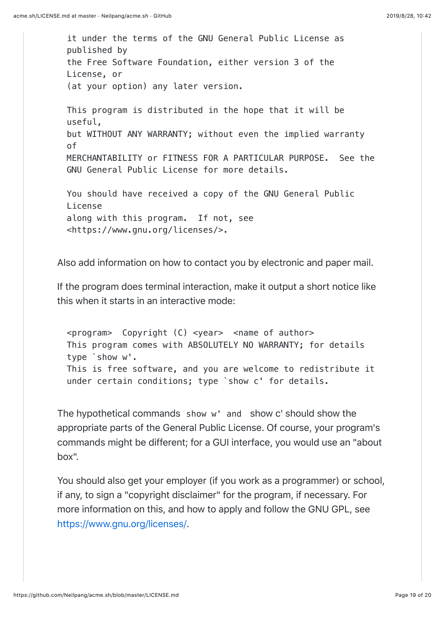it under the terms of the GNU General Public License as published by the Free Software Foundation, either version 3 of the License, or (at your option) any later version. This program is distributed in the hope that it will be useful, but WITHOUT ANY WARRANTY; without even the implied warranty of MERCHANTABILITY or FITNESS FOR A PARTICULAR PURPOSE. See the GNU General Public License for more details. You should have received a copy of the GNU General Public License along with this program. If not, see <https://www.gnu.org/licenses/>.

Also add information on how to contact you by electronic and paper mail.

If the program does terminal interaction, make it output a short notice like this when it starts in an interactive mode:

 $<$ program> Copyright (C)  $<$ year>  $<$ name of author> This program comes with ABSOLUTELY NO WARRANTY; for details type `show w'. This is free software, and you are welcome to redistribute it under certain conditions; type `show c' for details.

The hypothetical commands show w' and show c' should show the appropriate parts of the General Public License. Of course, your program's commands might be different; for a GUI interface, you would use an "about box".

You should also get your employer (if you work as a programmer) or school, if any, to sign a "copyright disclaimer" for the program, if necessary. For more information on this, and how to apply and follow the GNU GPL, see <https://www.gnu.org/licenses/>.